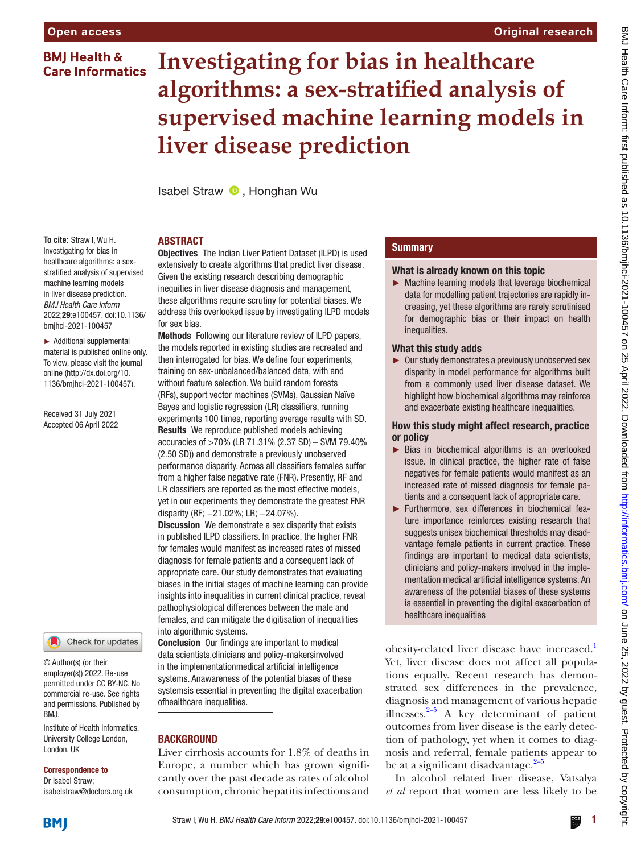## **BMJ Health & Care Informatics**

# **Investigating for bias in healthcare algorithms: a sex-stratified analysis of supervised machine learning models in liver disease prediction**

Isabel Straw  $\bullet$ . Honghan Wu

## ABSTRACT

**To cite:** Straw I, Wu H. Investigating for bias in healthcare algorithms: a sexstratified analysis of supervised machine learning models in liver disease prediction. *BMJ Health Care Inform* 2022;29:e100457. doi:10.1136/ bmjhci-2021-100457

► Additional supplemental material is published online only. To view, please visit the journal online [\(http://dx.doi.org/10.](http://dx.doi.org/10.1136/bmjhci-2021-100457) [1136/bmjhci-2021-100457\)](http://dx.doi.org/10.1136/bmjhci-2021-100457).

Received 31 July 2021 Accepted 06 April 2022

Check for updates

© Author(s) (or their employer(s)) 2022. Re-use permitted under CC BY-NC. No commercial re-use. See rights and permissions. Published by BMJ.

Institute of Health Informatics, University College London, London, UK

#### Correspondence to

Dr Isabel Straw; isabelstraw@doctors.org.uk **Objectives** The Indian Liver Patient Dataset (ILPD) is used extensively to create algorithms that predict liver disease. Given the existing research describing demographic inequities in liver disease diagnosis and management, these algorithms require scrutiny for potential biases. We address this overlooked issue by investigating ILPD models for sex bias.

Methods Following our literature review of ILPD papers, the models reported in existing studies are recreated and then interrogated for bias. We define four experiments, training on sex-unbalanced/balanced data, with and without feature selection. We build random forests (RFs), support vector machines (SVMs), Gaussian Naïve Bayes and logistic regression (LR) classifiers, running experiments 100 times, reporting average results with SD. Results We reproduce published models achieving accuracies of >70% (LR 71.31% (2.37 SD) – SVM 79.40% (2.50 SD)) and demonstrate a previously unobserved performance disparity. Across all classifiers females suffer from a higher false negative rate (FNR). Presently, RF and LR classifiers are reported as the most effective models, yet in our experiments they demonstrate the greatest FNR disparity (RF; −21.02%; LR; −24.07%).

**Discussion** We demonstrate a sex disparity that exists in published ILPD classifiers. In practice, the higher FNR for females would manifest as increased rates of missed diagnosis for female patients and a consequent lack of appropriate care. Our study demonstrates that evaluating biases in the initial stages of machine learning can provide insights into inequalities in current clinical practice, reveal pathophysiological differences between the male and females, and can mitigate the digitisation of inequalities into algorithmic systems.

Conclusion Our findings are important to medical data scientists,clinicians and policy-makersinvolved in the implementationmedical artificial intelligence systems. Anawareness of the potential biases of these systemsis essential in preventing the digital exacerbation ofhealthcare inequalities.

## **BACKGROUND**

Liver cirrhosis accounts for 1.8% of deaths in Europe, a number which has grown significantly over the past decade as rates of alcohol consumption, chronic hepatitis infections and

## **Summary**

## What is already known on this topic

► Machine learning models that leverage biochemical data for modelling patient trajectories are rapidly increasing, yet these algorithms are rarely scrutinised for demographic bias or their impact on health inequalities.

## What this study adds

► Our study demonstrates a previously unobserved sex disparity in model performance for algorithms built from a commonly used liver disease dataset. We highlight how biochemical algorithms may reinforce and exacerbate existing healthcare inequalities.

## How this study might affect research, practice or policy

- ► Bias in biochemical algorithms is an overlooked issue. In clinical practice, the higher rate of false negatives for female patients would manifest as an increased rate of missed diagnosis for female patients and a consequent lack of appropriate care.
- ► Furthermore, sex differences in biochemical feature importance reinforces existing research that suggests unisex biochemical thresholds may disadvantage female patients in current practice. These findings are important to medical data scientists, clinicians and policy-makers involved in the implementation medical artificial intelligence systems. An awareness of the potential biases of these systems is essential in preventing the digital exacerbation of healthcare inequalities

obesity-related liver disease have increased.<sup>1</sup> Yet, liver disease does not affect all populations equally. Recent research has demonstrated sex differences in the prevalence, diagnosis and management of various hepatic illnesses. $2-5$  A key determinant of patient outcomes from liver disease is the early detection of pathology, yet when it comes to diagnosis and referral, female patients appear to be at a significant disadvantage. $2^{-5}$ 

In alcohol related liver disease, Vatsalya *et al* report that women are less likely to be

**BMI**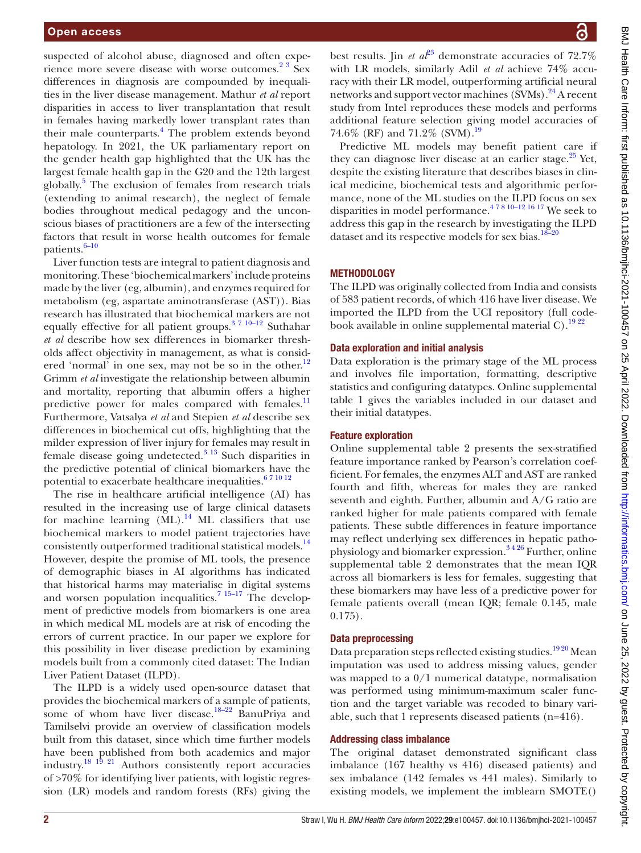suspected of alcohol abuse, diagnosed and often experience more severe disease with worse outcomes.<sup>23</sup> Sex differences in diagnosis are compounded by inequalities in the liver disease management. Mathur *et al* report disparities in access to liver transplantation that result in females having markedly lower transplant rates than their male counterparts.<sup>[4](#page-6-2)</sup> The problem extends beyond hepatology. In 2021, the UK parliamentary report on the gender health gap highlighted that the UK has the largest female health gap in the G20 and the 12th largest globally.[5](#page-6-3) The exclusion of females from research trials (extending to animal research), the neglect of female bodies throughout medical pedagogy and the unconscious biases of practitioners are a few of the intersecting factors that result in worse health outcomes for female patients.<sup>[6–10](#page-6-4)</sup>

Liver function tests are integral to patient diagnosis and monitoring. These 'biochemical markers' include proteins made by the liver (eg, albumin), and enzymes required for metabolism (eg, aspartate aminotransferase (AST)). Bias research has illustrated that biochemical markers are not equally effective for all patient groups.[3 7 10–12](#page-6-5) Suthahar *et al* describe how sex differences in biomarker thresholds affect objectivity in management, as what is considered 'normal' in one sex, may not be so in the other. $12$ Grimm *et al* investigate the relationship between albumin and mortality, reporting that albumin offers a higher predictive power for males compared with females.<sup>11</sup> Furthermore, Vatsalya *et al* and Stepien *et al* describe sex differences in biochemical cut offs, highlighting that the milder expression of liver injury for females may result in female disease going undetected.<sup>3</sup> <sup>13</sup> Such disparities in the predictive potential of clinical biomarkers have the potential to exacerbate healthcare inequalities.<sup>67 10 12</sup>

The rise in healthcare artificial intelligence (AI) has resulted in the increasing use of large clinical datasets for machine learning  $(ML)$ .<sup>[14](#page-7-0)</sup> ML classifiers that use biochemical markers to model patient trajectories have consistently outperformed traditional statistical models.<sup>14</sup> However, despite the promise of ML tools, the presence of demographic biases in AI algorithms has indicated that historical harms may materialise in digital systems and worsen population inequalities.<sup>[7 15–17](#page-6-8)</sup> The development of predictive models from biomarkers is one area in which medical ML models are at risk of encoding the errors of current practice. In our paper we explore for this possibility in liver disease prediction by examining models built from a commonly cited dataset: The Indian Liver Patient Dataset (ILPD).

The ILPD is a widely used open-source dataset that provides the biochemical markers of a sample of patients, some of whom have liver disease.<sup>18–22</sup> BanuPriya and Tamilselvi provide an overview of classification models built from this dataset, since which time further models have been published from both academics and major industry.[18 19 21](#page-7-1) Authors consistently report accuracies of >70% for identifying liver patients, with logistic regression (LR) models and random forests (RFs) giving the

best results. Jin *et a* $\ell^2$ <sup>3</sup> demonstrate accuracies of 72.7% with LR models, similarly Adil *et al* achieve 74% accuracy with their LR model, outperforming artificial neural networks and support vector machines (SVMs).<sup>[24](#page-7-3)</sup> A recent study from Intel reproduces these models and performs additional feature selection giving model accuracies of 74.6% (RF) and 71.2% (SVM).[19](#page-7-4)

Predictive ML models may benefit patient care if they can diagnose liver disease at an earlier stage. $25$  Yet, despite the existing literature that describes biases in clinical medicine, biochemical tests and algorithmic performance, none of the ML studies on the ILPD focus on sex disparities in model performance.<sup>478 10–12 16 17</sup> We seek to address this gap in the research by investigating the ILPD dataset and its respective models for sex bias. $18-20$ 

## METHODOLOGY

The ILPD was originally collected from India and consists of 583 patient records, of which 416 have liver disease. We imported the ILPD from the UCI repository (full codebook available in [online supplemental material C](https://dx.doi.org/10.1136/bmjhci-2021-100457)).<sup>19 22</sup>

## Data exploration and initial analysis

Data exploration is the primary stage of the ML process and involves file importation, formatting, descriptive statistics and configuring datatypes. [Online supplemental](https://dx.doi.org/10.1136/bmjhci-2021-100457)  [table 1](https://dx.doi.org/10.1136/bmjhci-2021-100457) gives the variables included in our dataset and their initial datatypes.

#### Feature exploration

[Online supplemental table 2](https://dx.doi.org/10.1136/bmjhci-2021-100457) presents the sex-stratified feature importance ranked by Pearson's correlation coefficient. For females, the enzymes ALT and AST are ranked fourth and fifth, whereas for males they are ranked seventh and eighth. Further, albumin and A/G ratio are ranked higher for male patients compared with female patients. These subtle differences in feature importance may reflect underlying sex differences in hepatic pathophysiology and biomarker expression.[3 4 26](#page-6-5) Further, [online](https://dx.doi.org/10.1136/bmjhci-2021-100457)  [supplemental table 2](https://dx.doi.org/10.1136/bmjhci-2021-100457) demonstrates that the mean IQR across all biomarkers is less for females, suggesting that these biomarkers may have less of a predictive power for female patients overall (mean IQR; female 0.145, male 0.175).

## Data preprocessing

Data preparation steps reflected existing studies.<sup>1920</sup> Mean imputation was used to address missing values, gender was mapped to a 0/1 numerical datatype, normalisation was performed using minimum-maximum scaler function and the target variable was recoded to binary variable, such that 1 represents diseased patients (n=416).

## Addressing class imbalance

The original dataset demonstrated significant class imbalance (167 healthy vs 416) diseased patients) and sex imbalance (142 females vs 441 males). Similarly to existing models, we implement the imblearn SMOTE()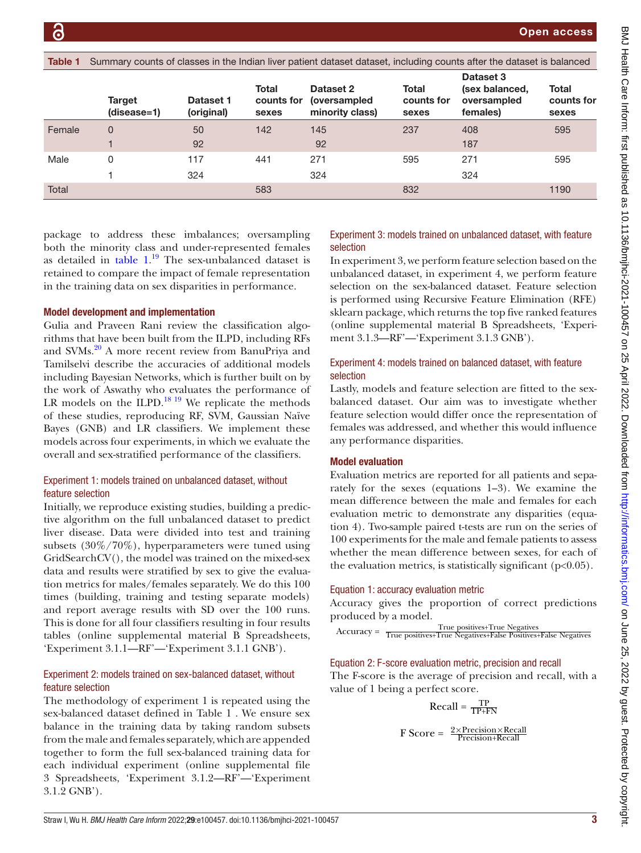<span id="page-2-0"></span>

| Table 1 | Summary counts of classes in the Indian liver patient dataset dataset, including counts after the dataset is balanced |                         |                              |                                                      |                              |                                                        |                              |  |  |  |
|---------|-----------------------------------------------------------------------------------------------------------------------|-------------------------|------------------------------|------------------------------------------------------|------------------------------|--------------------------------------------------------|------------------------------|--|--|--|
|         | Target<br>(disease=1)                                                                                                 | Dataset 1<br>(original) | Total<br>counts for<br>sexes | Dataset 2<br><i>(oversampled)</i><br>minority class) | Total<br>counts for<br>sexes | Dataset 3<br>(sex balanced,<br>oversampled<br>females) | Total<br>counts for<br>sexes |  |  |  |
| Female  | 0                                                                                                                     | 50<br>92                | 142                          | 145<br>92                                            | 237                          | 408<br>187                                             | 595                          |  |  |  |
| Male    | 0                                                                                                                     | 117<br>324              | 441                          | 271<br>324                                           | 595                          | 271<br>324                                             | 595                          |  |  |  |
| Total   |                                                                                                                       |                         | 583                          |                                                      | 832                          |                                                        | 1190                         |  |  |  |

package to address these imbalances; oversampling both the minority class and under-represented females as detailed in  $table\ 1<sup>19</sup>$  $table\ 1<sup>19</sup>$  The sex-unbalanced dataset is retained to compare the impact of female representation in the training data on sex disparities in performance.

#### Model development and implementation

Gulia and Praveen Rani review the classification algorithms that have been built from the ILPD, including RFs and SVMs.<sup>20</sup> A more recent review from BanuPriya and Tamilselvi describe the accuracies of additional models including Bayesian Networks, which is further built on by the work of Aswathy who evaluates the performance of LR models on the ILPD.<sup>18 19</sup> We replicate the methods of these studies, reproducing RF, SVM, Gaussian Naïve Bayes (GNB) and LR classifiers. We implement these models across four experiments, in which we evaluate the overall and sex-stratified performance of the classifiers.

## Experiment 1: models trained on unbalanced dataset, without feature selection

Initially, we reproduce existing studies, building a predictive algorithm on the full unbalanced dataset to predict liver disease. Data were divided into test and training subsets (30%/70%), hyperparameters were tuned using GridSearchCV(), the model was trained on the mixed-sex data and results were stratified by sex to give the evaluation metrics for males/females separately. We do this 100 times (building, training and testing separate models) and report average results with SD over the 100 runs. This is done for all four classifiers resulting in four results tables ([online supplemental material B](https://dx.doi.org/10.1136/bmjhci-2021-100457) Spreadsheets, 'Experiment 3.1.1—RF'—'Experiment 3.1.1 GNB').

## Experiment 2: models trained on sex-balanced dataset, without feature selection

The methodology of experiment 1 is repeated using the sex-balanced dataset defined in Table 1 . We ensure sex balance in the training data by taking random subsets from the male and females separately, which are appended together to form the full sex-balanced training data for each individual experiment [\(online supplemental file](https://dx.doi.org/10.1136/bmjhci-2021-100457) [3](https://dx.doi.org/10.1136/bmjhci-2021-100457) Spreadsheets, 'Experiment 3.1.2—RF'—'Experiment 3.1.2 GNB').

## Experiment 3: models trained on unbalanced dataset, with feature selection

In experiment 3, we perform feature selection based on the unbalanced dataset, in experiment 4, we perform feature selection on the sex-balanced dataset. Feature selection is performed using Recursive Feature Elimination (RFE) sklearn package, which returns the top five ranked features [\(online supplemental material B](https://dx.doi.org/10.1136/bmjhci-2021-100457) Spreadsheets, 'Experiment 3.1.3—RF'—'Experiment 3.1.3 GNB').

## Experiment 4: models trained on balanced dataset, with feature selection

Lastly, models and feature selection are fitted to the sexbalanced dataset. Our aim was to investigate whether feature selection would differ once the representation of females was addressed, and whether this would influence any performance disparities.

## Model evaluation

Evaluation metrics are reported for all patients and separately for the sexes (equations 1–3). We examine the mean difference between the male and females for each evaluation metric to demonstrate any disparities (equation 4). Two-sample paired t-tests are run on the series of 100 experiments for the male and female patients to assess whether the mean difference between sexes, for each of the evaluation metrics, is statistically significant  $(p<0.05)$ .

#### Equation 1: accuracy evaluation metric

Accuracy gives the proportion of correct predictions produced by a model.

$$
Accuracy = True positives + True negatives
$$
\n
$$
Accuracy = True positives + True negatives + False positives + False negatives
$$

## Equation 2: F-score evaluation metric, precision and recall

The F-score is the average of precision and recall, with a value of 1 being a perfect score.

$$
Recall = \frac{TP}{TP+FN}
$$

$$
F Score = \frac{2 \times Precision \times Recall}{Precision + Recall}
$$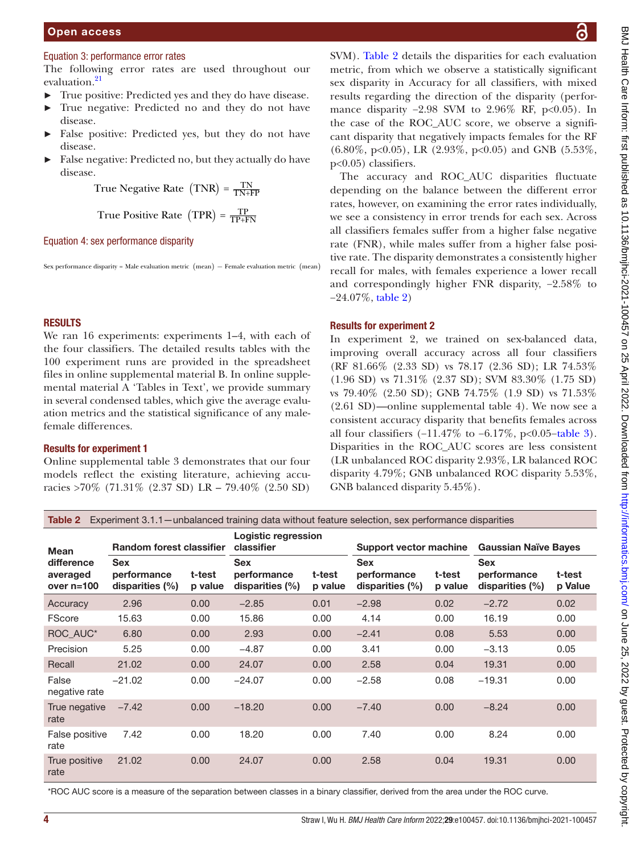## Open access

#### Equation 3: performance error rates

The following error rates are used throughout our evaluation.<sup>21</sup>

- True positive: Predicted yes and they do have disease.
- ► True negative: Predicted no and they do not have disease.
- False positive: Predicted yes, but they do not have disease.
- ► False negative: Predicted no, but they actually do have disease.

```
True Negative Rate (TNR) = \frac{TN}{TN+FP}
```
True Positive Rate (TPR) = 
$$
\frac{TP}{TP+FN}
$$

#### Equation 4: sex performance disparity

Sex performance disparity = Male evaluation metric ( mean) *<sup>−</sup>* Female evaluation metric ( mean)

#### RESULTS

We ran 16 experiments: experiments 1–4, with each of the four classifiers. The detailed results tables with the 100 experiment runs are provided in the spreadsheet files in [online supplemental material B](https://dx.doi.org/10.1136/bmjhci-2021-100457). In [online supple](https://dx.doi.org/10.1136/bmjhci-2021-100457)[mental material A](https://dx.doi.org/10.1136/bmjhci-2021-100457) 'Tables in Text', we provide summary in several condensed tables, which give the average evaluation metrics and the statistical significance of any malefemale differences.

#### Results for experiment 1

[Online supplemental table 3](https://dx.doi.org/10.1136/bmjhci-2021-100457) demonstrates that our four models reflect the existing literature, achieving accuracies >70% (71.31% (2.37 SD) LR – 79.40% (2.50 SD)

SVM). [Table](#page-3-0) 2 details the disparities for each evaluation metric, from which we observe a statistically significant sex disparity in Accuracy for all classifiers, with mixed results regarding the direction of the disparity (performance disparity -2.98 SVM to 2.96% RF, p<0.05). In the case of the ROC\_AUC score, we observe a significant disparity that negatively impacts females for the RF  $(6.80\%, p<0.05)$ , LR  $(2.93\%, p<0.05)$  and GNB  $(5.53\%,$ p<0.05) classifiers.

The accuracy and ROC\_AUC disparities fluctuate depending on the balance between the different error rates, however, on examining the error rates individually, we see a consistency in error trends for each sex. Across all classifiers females suffer from a higher false negative rate (FNR), while males suffer from a higher false positive rate. The disparity demonstrates a consistently higher recall for males, with females experience a lower recall and correspondingly higher FNR disparity, −2.58% to −24.07%, [table](#page-3-0) 2)

## Results for experiment 2

In experiment 2, we trained on sex-balanced data, improving overall accuracy across all four classifiers (RF 81.66% (2.33 SD) vs 78.17 (2.36 SD); LR 74.53% (1.96 SD) vs 71.31% (2.37 SD); SVM 83.30% (1.75 SD) vs 79.40% (2.50 SD); GNB 74.75% (1.9 SD) vs 71.53% (2.61 SD)—[online supplemental table 4](https://dx.doi.org/10.1136/bmjhci-2021-100457)). We now see a consistent accuracy disparity that benefits females across all four classifiers  $(-11.47\%$  to  $-6.17\%$ , p<0.05–[table](#page-4-0) 3). Disparities in the ROC\_AUC scores are less consistent (LR unbalanced ROC disparity 2.93%, LR balanced ROC disparity 4.79%; GNB unbalanced ROC disparity 5.53%, GNB balanced disparity 5.45%).

<span id="page-3-0"></span>Table 2 Experiment 3.1.1—unbalanced training data without feature selection, sex performance disparities

| <b>Mean</b>                            | <b>Random forest classifier</b>                |                   | <b>Logistic regression</b><br>classifier         |                   | <b>Support vector machine</b>                |                   | <b>Gaussian Naïve Bayes</b>                    |                   |
|----------------------------------------|------------------------------------------------|-------------------|--------------------------------------------------|-------------------|----------------------------------------------|-------------------|------------------------------------------------|-------------------|
| difference<br>averaged<br>over $n=100$ | <b>Sex</b><br>performance<br>disparities $(%)$ | t-test<br>p value | <b>Sex</b><br>performance<br>disparities $(\% )$ | t-test<br>p value | <b>Sex</b><br>performance<br>disparities (%) | t-test<br>p value | <b>Sex</b><br>performance<br>disparities $(%)$ | t-test<br>p Value |
| Accuracy                               | 2.96                                           | 0.00              | $-2.85$                                          | 0.01              | $-2.98$                                      | 0.02              | $-2.72$                                        | 0.02              |
| <b>FScore</b>                          | 15.63                                          | 0.00              | 15.86                                            | 0.00              | 4.14                                         | 0.00              | 16.19                                          | 0.00              |
| ROC_AUC*                               | 6.80                                           | 0.00              | 2.93                                             | 0.00              | $-2.41$                                      | 0.08              | 5.53                                           | 0.00              |
| Precision                              | 5.25                                           | 0.00              | $-4.87$                                          | 0.00              | 3.41                                         | 0.00              | $-3.13$                                        | 0.05              |
| Recall                                 | 21.02                                          | 0.00              | 24.07                                            | 0.00              | 2.58                                         | 0.04              | 19.31                                          | 0.00              |
| False<br>negative rate                 | $-21.02$                                       | 0.00              | $-24.07$                                         | 0.00              | $-2.58$                                      | 0.08              | $-19.31$                                       | 0.00              |
| True negative<br>rate                  | $-7.42$                                        | 0.00              | $-18.20$                                         | 0.00              | $-7.40$                                      | 0.00              | $-8.24$                                        | 0.00              |
| False positive<br>rate                 | 7.42                                           | 0.00              | 18.20                                            | 0.00              | 7.40                                         | 0.00              | 8.24                                           | 0.00              |
| True positive<br>rate                  | 21.02                                          | 0.00              | 24.07                                            | 0.00              | 2.58                                         | 0.04              | 19.31                                          | 0.00              |

\*ROC AUC score is a measure of the separation between classes in a binary classifier, derived from the area under the ROC curve.

ဥ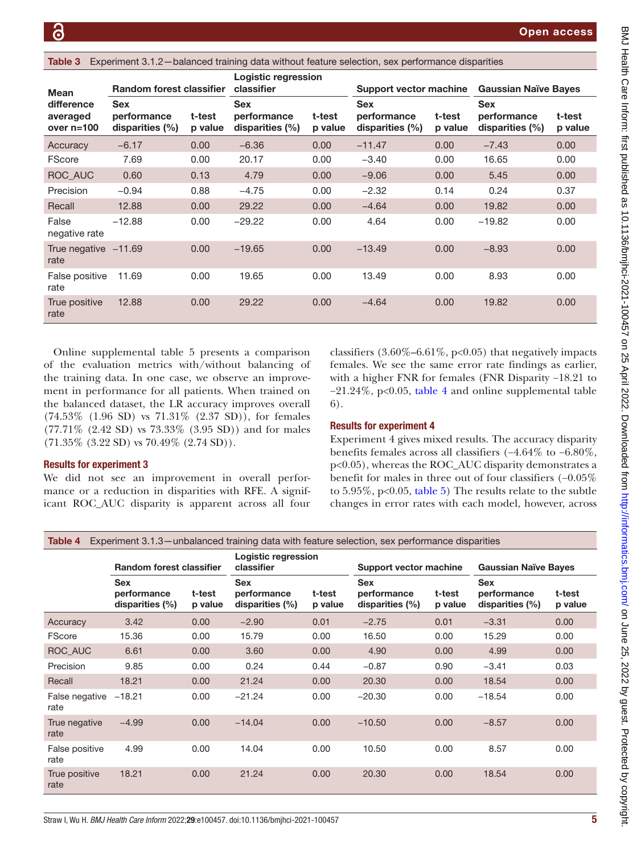<span id="page-4-0"></span>Table 3 Experiment 3.1.2—balanced training data without feature selection, sex performance disparities

| <b>Mean</b>                            | <b>Random forest classifier</b>              |                   | Logistic regression<br>classifier            |                   | Support vector machine                       |                   | <b>Gaussian Naïve Bayes</b>                  |                   |
|----------------------------------------|----------------------------------------------|-------------------|----------------------------------------------|-------------------|----------------------------------------------|-------------------|----------------------------------------------|-------------------|
| difference<br>averaged<br>over $n=100$ | <b>Sex</b><br>performance<br>disparities (%) | t-test<br>p value | <b>Sex</b><br>performance<br>disparities (%) | t-test<br>p value | <b>Sex</b><br>performance<br>disparities (%) | t-test<br>p value | <b>Sex</b><br>performance<br>disparities (%) | t-test<br>p value |
| Accuracy                               | $-6.17$                                      | 0.00              | $-6.36$                                      | 0.00              | $-11.47$                                     | 0.00              | $-7.43$                                      | 0.00              |
| <b>FScore</b>                          | 7.69                                         | 0.00              | 20.17                                        | 0.00              | $-3.40$                                      | 0.00              | 16.65                                        | 0.00              |
| ROC_AUC                                | 0.60                                         | 0.13              | 4.79                                         | 0.00              | $-9.06$                                      | 0.00              | 5.45                                         | 0.00              |
| Precision                              | $-0.94$                                      | 0.88              | $-4.75$                                      | 0.00              | $-2.32$                                      | 0.14              | 0.24                                         | 0.37              |
| Recall                                 | 12.88                                        | 0.00              | 29.22                                        | 0.00              | $-4.64$                                      | 0.00              | 19.82                                        | 0.00              |
| False<br>negative rate                 | $-12.88$                                     | 0.00              | $-29.22$                                     | 0.00              | 4.64                                         | 0.00              | $-19.82$                                     | 0.00              |
| True negative $-11.69$<br>rate         |                                              | 0.00              | $-19.65$                                     | 0.00              | $-13.49$                                     | 0.00              | $-8.93$                                      | 0.00              |
| False positive<br>rate                 | 11.69                                        | 0.00              | 19.65                                        | 0.00              | 13.49                                        | 0.00              | 8.93                                         | 0.00              |
| True positive<br>rate                  | 12.88                                        | 0.00              | 29.22                                        | 0.00              | $-4.64$                                      | 0.00              | 19.82                                        | 0.00              |

[Online supplemental table 5](https://dx.doi.org/10.1136/bmjhci-2021-100457) presents a comparison of the evaluation metrics with/without balancing of the training data. In one case, we observe an improvement in performance for all patients. When trained on the balanced dataset, the LR accuracy improves overall (74.53% (1.96 SD) vs 71.31% (2.37 SD)), for females (77.71% (2.42 SD) vs 73.33% (3.95 SD)) and for males (71.35% (3.22 SD) vs 70.49% (2.74 SD)).

#### Results for experiment 3

We did not see an improvement in overall performance or a reduction in disparities with RFE. A significant ROC\_AUC disparity is apparent across all four

classifiers  $(3.60\% - 6.61\%, p < 0.05)$  that negatively impacts females. We see the same error rate findings as earlier, with a higher FNR for females (FNR Disparity −18.21 to −21.24%, p<0.05, [table](#page-4-1) 4 and [online supplemental table](https://dx.doi.org/10.1136/bmjhci-2021-100457)  [6](https://dx.doi.org/10.1136/bmjhci-2021-100457)).

#### Results for experiment 4

Experiment 4 gives mixed results. The accuracy disparity benefits females across all classifiers (−4.64% to −6.80%, p<0.05), whereas the ROC\_AUC disparity demonstrates a benefit for males in three out of four classifiers (−0.05% to  $5.95\%$ , p<0.05, [table](#page-5-0) 5) The results relate to the subtle changes in error rates with each model, however, across

<span id="page-4-1"></span>Table 4 Experiment 3.1.3—unbalanced training data with feature selection, sex performance disparities

|                        | Random forest classifier                         |                   | Logistic regression<br>classifier                |                   | Support vector machine                           |                   | <b>Gaussian Naïve Bayes</b>                  |                   |
|------------------------|--------------------------------------------------|-------------------|--------------------------------------------------|-------------------|--------------------------------------------------|-------------------|----------------------------------------------|-------------------|
|                        | <b>Sex</b><br>performance<br>disparities $(\% )$ | t-test<br>p value | <b>Sex</b><br>performance<br>disparities $(\% )$ | t-test<br>p value | <b>Sex</b><br>performance<br>disparities $(\% )$ | t-test<br>p value | <b>Sex</b><br>performance<br>disparities (%) | t-test<br>p value |
| Accuracy               | 3.42                                             | 0.00              | $-2.90$                                          | 0.01              | $-2.75$                                          | 0.01              | $-3.31$                                      | 0.00              |
| FScore                 | 15.36                                            | 0.00              | 15.79                                            | 0.00              | 16.50                                            | 0.00              | 15.29                                        | 0.00              |
| ROC AUC                | 6.61                                             | 0.00              | 3.60                                             | 0.00              | 4.90                                             | 0.00              | 4.99                                         | 0.00              |
| Precision              | 9.85                                             | 0.00              | 0.24                                             | 0.44              | $-0.87$                                          | 0.90              | $-3.41$                                      | 0.03              |
| Recall                 | 18.21                                            | 0.00              | 21.24                                            | 0.00              | 20.30                                            | 0.00              | 18.54                                        | 0.00              |
| False negative<br>rate | $-18.21$                                         | 0.00              | $-21.24$                                         | 0.00              | $-20.30$                                         | 0.00              | $-18.54$                                     | 0.00              |
| True negative<br>rate  | $-4.99$                                          | 0.00              | $-14.04$                                         | 0.00              | $-10.50$                                         | 0.00              | $-8.57$                                      | 0.00              |
| False positive<br>rate | 4.99                                             | 0.00              | 14.04                                            | 0.00              | 10.50                                            | 0.00              | 8.57                                         | 0.00              |
| True positive<br>rate  | 18.21                                            | 0.00              | 21.24                                            | 0.00              | 20.30                                            | 0.00              | 18.54                                        | 0.00              |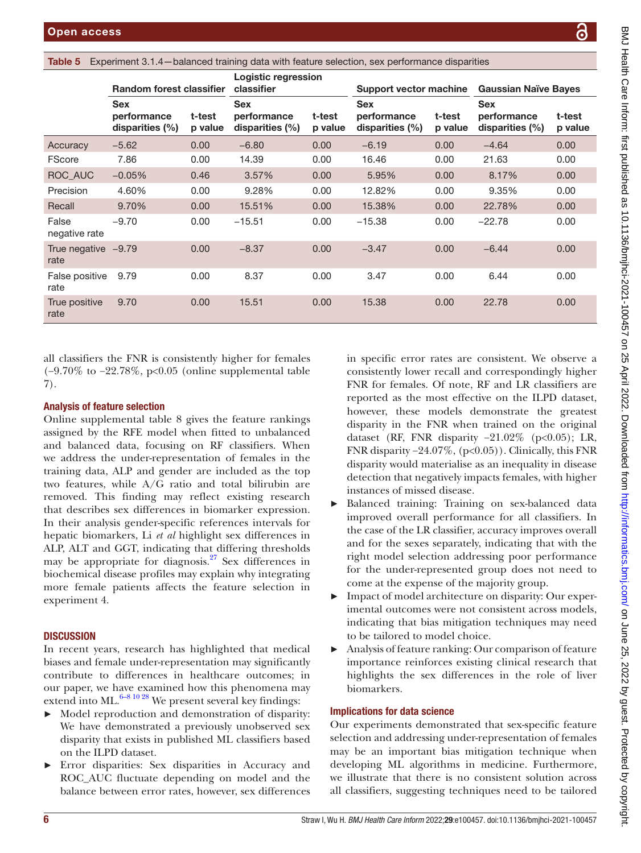<span id="page-5-0"></span>Table 5 Experiment 3.1.4—balanced training data with feature selection, sex performance disparities

|                               | <b>Random forest classifier</b>                 |                   | Logistic regression<br>classifier               |                   | Support vector machine                       |                   | <b>Gaussian Naïve Bayes</b>                     |                   |
|-------------------------------|-------------------------------------------------|-------------------|-------------------------------------------------|-------------------|----------------------------------------------|-------------------|-------------------------------------------------|-------------------|
|                               | <b>Sex</b><br>performance<br>disparities $(\%)$ | t-test<br>p value | <b>Sex</b><br>performance<br>disparities $(\%)$ | t-test<br>p value | <b>Sex</b><br>performance<br>disparities (%) | t-test<br>p value | <b>Sex</b><br>performance<br>disparities $(\%)$ | t-test<br>p value |
| Accuracy                      | $-5.62$                                         | 0.00              | $-6.80$                                         | 0.00              | $-6.19$                                      | 0.00              | $-4.64$                                         | 0.00              |
| <b>FScore</b>                 | 7.86                                            | 0.00              | 14.39                                           | 0.00              | 16.46                                        | 0.00              | 21.63                                           | 0.00              |
| ROC AUC                       | $-0.05%$                                        | 0.46              | 3.57%                                           | 0.00              | 5.95%                                        | 0.00              | 8.17%                                           | 0.00              |
| Precision                     | 4.60%                                           | 0.00              | 9.28%                                           | 0.00              | 12.82%                                       | 0.00              | 9.35%                                           | 0.00              |
| Recall                        | 9.70%                                           | 0.00              | 15.51%                                          | 0.00              | 15.38%                                       | 0.00              | 22.78%                                          | 0.00              |
| False<br>negative rate        | $-9.70$                                         | 0.00              | $-15.51$                                        | 0.00              | $-15.38$                                     | 0.00              | $-22.78$                                        | 0.00              |
| True negative $-9.79$<br>rate |                                                 | 0.00              | $-8.37$                                         | 0.00              | $-3.47$                                      | 0.00              | $-6.44$                                         | 0.00              |
| False positive<br>rate        | 9.79                                            | 0.00              | 8.37                                            | 0.00              | 3.47                                         | 0.00              | 6.44                                            | 0.00              |
| True positive<br>rate         | 9.70                                            | 0.00              | 15.51                                           | 0.00              | 15.38                                        | 0.00              | 22.78                                           | 0.00              |

all classifiers the FNR is consistently higher for females (−9.70% to −22.78%, p<0.05 [\(online supplemental table](https://dx.doi.org/10.1136/bmjhci-2021-100457) [7\)](https://dx.doi.org/10.1136/bmjhci-2021-100457).

## Analysis of feature selection

[Online supplemental table 8](https://dx.doi.org/10.1136/bmjhci-2021-100457) gives the feature rankings assigned by the RFE model when fitted to unbalanced and balanced data, focusing on RF classifiers. When we address the under-representation of females in the training data, ALP and gender are included as the top two features, while A/G ratio and total bilirubin are removed. This finding may reflect existing research that describes sex differences in biomarker expression. In their analysis gender-specific references intervals for hepatic biomarkers, Li *et al* highlight sex differences in ALP, ALT and GGT, indicating that differing thresholds may be appropriate for diagnosis. $27$  Sex differences in biochemical disease profiles may explain why integrating more female patients affects the feature selection in experiment 4.

## **DISCUSSION**

In recent years, research has highlighted that medical biases and female under-representation may significantly contribute to differences in healthcare outcomes; in our paper, we have examined how this phenomena may extend into ML $^{6-8}$  10 <sup>28</sup> We present several key findings:

- Model reproduction and demonstration of disparity: We have demonstrated a previously unobserved sex disparity that exists in published ML classifiers based on the ILPD dataset.
- ► Error disparities: Sex disparities in Accuracy and ROC\_AUC fluctuate depending on model and the balance between error rates, however, sex differences

in specific error rates are consistent. We observe a consistently lower recall and correspondingly higher FNR for females. Of note, RF and LR classifiers are reported as the most effective on the ILPD dataset, however, these models demonstrate the greatest disparity in the FNR when trained on the original dataset (RF, FNR disparity  $-21.02\%$  (p<0.05); LR, FNR disparity  $-24.07\%$ , (p<0.05)). Clinically, this FNR disparity would materialise as an inequality in disease detection that negatively impacts females, with higher instances of missed disease.

- Balanced training: Training on sex-balanced data improved overall performance for all classifiers. In the case of the LR classifier, accuracy improves overall and for the sexes separately, indicating that with the right model selection addressing poor performance for the under-represented group does not need to come at the expense of the majority group.
- ► Impact of model architecture on disparity: Our experimental outcomes were not consistent across models, indicating that bias mitigation techniques may need to be tailored to model choice.
- Analysis of feature ranking: Our comparison of feature importance reinforces existing clinical research that highlights the sex differences in the role of liver biomarkers.

## Implications for data science

Our experiments demonstrated that sex-specific feature selection and addressing under-representation of females may be an important bias mitigation technique when developing ML algorithms in medicine. Furthermore, we illustrate that there is no consistent solution across all classifiers, suggesting techniques need to be tailored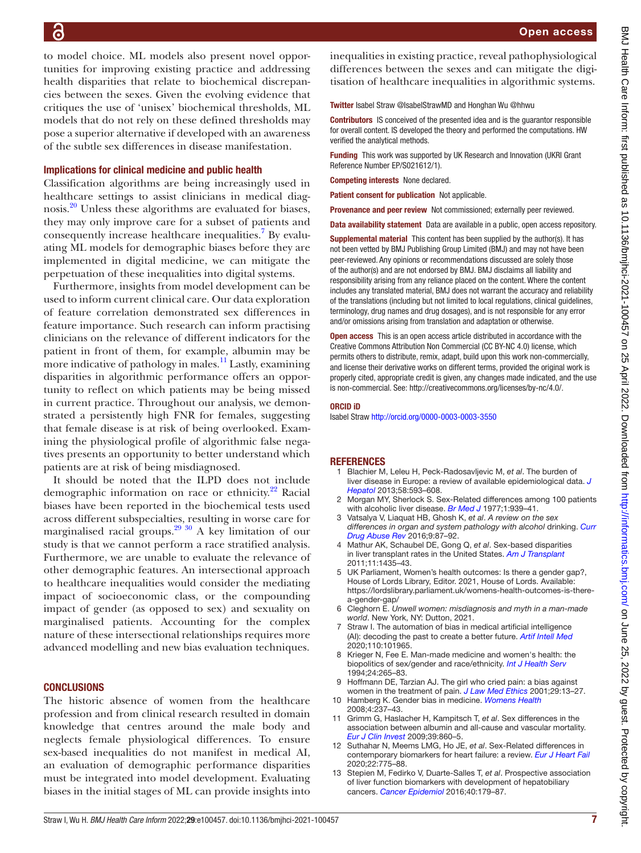to model choice. ML models also present novel opportunities for improving existing practice and addressing health disparities that relate to biochemical discrepancies between the sexes. Given the evolving evidence that critiques the use of 'unisex' biochemical thresholds, ML models that do not rely on these defined thresholds may pose a superior alternative if developed with an awareness of the subtle sex differences in disease manifestation.

## Implications for clinical medicine and public health

Classification algorithms are being increasingly used in healthcare settings to assist clinicians in medical diagnosis.[20](#page-7-6) Unless these algorithms are evaluated for biases, they may only improve care for a subset of patients and consequently increase healthcare inequalities.<sup>[7](#page-6-8)</sup> By evaluating ML models for demographic biases before they are implemented in digital medicine, we can mitigate the perpetuation of these inequalities into digital systems.

Furthermore, insights from model development can be used to inform current clinical care. Our data exploration of feature correlation demonstrated sex differences in feature importance. Such research can inform practising clinicians on the relevance of different indicators for the patient in front of them, for example, albumin may be more indicative of pathology in males.<sup>11</sup> Lastly, examining disparities in algorithmic performance offers an opportunity to reflect on which patients may be being missed in current practice. Throughout our analysis, we demonstrated a persistently high FNR for females, suggesting that female disease is at risk of being overlooked. Examining the physiological profile of algorithmic false negatives presents an opportunity to better understand which patients are at risk of being misdiagnosed.

It should be noted that the ILPD does not include demographic information on race or ethnicity. $^{22}$  Racial biases have been reported in the biochemical tests used across different subspecialties, resulting in worse care for marginalised racial groups.<sup>29 30</sup> A key limitation of our study is that we cannot perform a race stratified analysis. Furthermore, we are unable to evaluate the relevance of other demographic features. An intersectional approach to healthcare inequalities would consider the mediating impact of socioeconomic class, or the compounding impact of gender (as opposed to sex) and sexuality on marginalised patients. Accounting for the complex nature of these intersectional relationships requires more advanced modelling and new bias evaluation techniques.

#### **CONCLUSIONS**

The historic absence of women from the healthcare profession and from clinical research resulted in domain knowledge that centres around the male body and neglects female physiological differences. To ensure sex-based inequalities do not manifest in medical AI, an evaluation of demographic performance disparities must be integrated into model development. Evaluating biases in the initial stages of ML can provide insights into

inequalities in existing practice, reveal pathophysiological differences between the sexes and can mitigate the digitisation of healthcare inequalities in algorithmic systems.

Twitter Isabel Straw [@IsabelStrawMD](https://twitter.com/IsabelStrawMD) and Honghan Wu [@hhwu](https://twitter.com/hhwu)

Contributors IS conceived of the presented idea and is the guarantor responsible for overall content. IS developed the theory and performed the computations. HW verified the analytical methods.

Funding This work was supported by UK Research and Innovation (UKRI Grant Reference Number EP/S021612/1).

Competing interests None declared.

Patient consent for publication Not applicable.

Provenance and peer review Not commissioned; externally peer reviewed.

Data availability statement Data are available in a public, open access repository.

Supplemental material This content has been supplied by the author(s). It has not been vetted by BMJ Publishing Group Limited (BMJ) and may not have been peer-reviewed. Any opinions or recommendations discussed are solely those of the author(s) and are not endorsed by BMJ. BMJ disclaims all liability and responsibility arising from any reliance placed on the content. Where the content includes any translated material, BMJ does not warrant the accuracy and reliability of the translations (including but not limited to local regulations, clinical guidelines, terminology, drug names and drug dosages), and is not responsible for any error and/or omissions arising from translation and adaptation or otherwise.

**Open access** This is an open access article distributed in accordance with the Creative Commons Attribution Non Commercial (CC BY-NC 4.0) license, which permits others to distribute, remix, adapt, build upon this work non-commercially, and license their derivative works on different terms, provided the original work is properly cited, appropriate credit is given, any changes made indicated, and the use is non-commercial. See: [http://creativecommons.org/licenses/by-nc/4.0/.](http://creativecommons.org/licenses/by-nc/4.0/)

#### ORCID iD

Isabel Straw<http://orcid.org/0000-0003-0003-3550>

#### **REFERENCES**

- <span id="page-6-0"></span>1 Blachier M, Leleu H, Peck-Radosavljevic M, *et al*. The burden of liver disease in Europe: a review of available epidemiological data. *[J](http://dx.doi.org/10.1016/j.jhep.2012.12.005)  [Hepatol](http://dx.doi.org/10.1016/j.jhep.2012.12.005)* 2013;58:593–608.
- <span id="page-6-1"></span>2 Morgan MY, Sherlock S. Sex-Related differences among 100 patients with alcoholic liver disease. *[Br Med J](http://dx.doi.org/10.1136/bmj.1.6066.939)* 1977;1:939–41.
- <span id="page-6-5"></span>3 Vatsalya V, Liaquat HB, Ghosh K, *et al*. *A review on the sex differences in organ and system pathology with alcohol* drinking. *[Curr](http://dx.doi.org/10.2174/1874473710666170125151410)  [Drug Abuse Rev](http://dx.doi.org/10.2174/1874473710666170125151410)* 2016;9:87–92.
- <span id="page-6-2"></span>4 Mathur AK, Schaubel DE, Gong Q, *et al*. Sex-based disparities in liver transplant rates in the United States. *[Am J Transplant](http://dx.doi.org/10.1111/j.1600-6143.2011.03498.x)* 2011;11:1435–43.
- <span id="page-6-3"></span>5 UK Parliament, Women's health outcomes: Is there a gender gap?, House of Lords Library, Editor. 2021, House of Lords. Available: [https://lordslibrary.parliament.uk/womens-health-outcomes-is-there](https://lordslibrary.parliament.uk/womens-health-outcomes-is-there-a-gender-gap/)[a-gender-gap/](https://lordslibrary.parliament.uk/womens-health-outcomes-is-there-a-gender-gap/)
- <span id="page-6-4"></span>6 Cleghorn E. *Unwell women: misdiagnosis and myth in a man-made world*. New York, NY: Dutton, 2021.
- <span id="page-6-8"></span>7 Straw I. The automation of bias in medical artificial intelligence (AI): decoding the past to create a better future. *[Artif Intell Med](http://dx.doi.org/10.1016/j.artmed.2020.101965)* 2020;110:101965.
- 8 Krieger N, Fee E. Man-made medicine and women's health: the biopolitics of sex/gender and race/ethnicity. *[Int J Health Serv](http://dx.doi.org/10.2190/LWLH-NMCJ-UACL-U80Y)* 1994;24:265–83.
- 9 Hoffmann DE, Tarzian AJ. The girl who cried pain: a bias against women in the treatment of pain. *[J Law Med Ethics](http://dx.doi.org/10.1111/j.1748-720X.2001.tb00037.x)* 2001;29:13–27.
- 10 Hamberg K. Gender bias in medicine. *[Womens Health](http://dx.doi.org/10.2217/17455057.4.3.237)* 2008;4:237–43.
- <span id="page-6-7"></span>11 Grimm G, Haslacher H, Kampitsch T, *et al*. Sex differences in the association between albumin and all-cause and vascular mortality. *[Eur J Clin Invest](http://dx.doi.org/10.1111/j.1365-2362.2009.02189.x)* 2009;39:860–5.
- <span id="page-6-6"></span>12 Suthahar N, Meems LMG, Ho JE, *et al*. Sex-Related differences in contemporary biomarkers for heart failure: a review. *[Eur J Heart Fail](http://dx.doi.org/10.1002/ejhf.1771)* 2020;22:775–88.
- 13 Stepien M, Fedirko V, Duarte-Salles T, *et al*. Prospective association of liver function biomarkers with development of hepatobiliary cancers. *[Cancer Epidemiol](http://dx.doi.org/10.1016/j.canep.2016.01.002)* 2016;40:179–87.